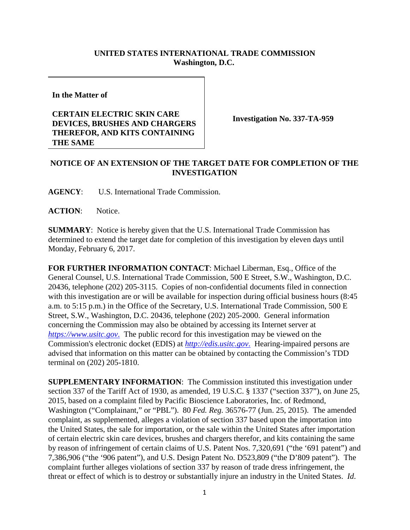## **UNITED STATES INTERNATIONAL TRADE COMMISSION Washington, D.C.**

**In the Matter of**

## **CERTAIN ELECTRIC SKIN CARE DEVICES, BRUSHES AND CHARGERS THEREFOR, AND KITS CONTAINING THE SAME**

**Investigation No. 337-TA-959**

## **NOTICE OF AN EXTENSION OF THE TARGET DATE FOR COMPLETION OF THE INVESTIGATION**

**AGENCY**: U.S. International Trade Commission.

**ACTION**: Notice.

**SUMMARY**: Notice is hereby given that the U.S. International Trade Commission has determined to extend the target date for completion of this investigation by eleven days until Monday, February 6, 2017.

**FOR FURTHER INFORMATION CONTACT**: Michael Liberman, Esq., Office of the General Counsel, U.S. International Trade Commission, 500 E Street, S.W., Washington, D.C. 20436, telephone (202) 205-3115. Copies of non-confidential documents filed in connection with this investigation are or will be available for inspection during official business hours (8:45) a.m. to 5:15 p.m.) in the Office of the Secretary, U.S. International Trade Commission, 500 E Street, S.W., Washington, D.C. 20436, telephone (202) 205-2000. General information concerning the Commission may also be obtained by accessing its Internet server at *https://www.usitc.gov*. The public record for this investigation may be viewed on the Commission's electronic docket (EDIS) at *http://edis.usitc.gov*. Hearing-impaired persons are advised that information on this matter can be obtained by contacting the Commission's TDD terminal on (202) 205-1810.

**SUPPLEMENTARY INFORMATION**: The Commission instituted this investigation under section 337 of the Tariff Act of 1930, as amended, 19 U.S.C. § 1337 ("section 337"), on June 25, 2015, based on a complaint filed by Pacific Bioscience Laboratories, Inc. of Redmond, Washington ("Complainant," or "PBL"). 80 *Fed. Reg.* 36576-77 (Jun. 25, 2015). The amended complaint, as supplemented, alleges a violation of section 337 based upon the importation into the United States, the sale for importation, or the sale within the United States after importation of certain electric skin care devices, brushes and chargers therefor, and kits containing the same by reason of infringement of certain claims of U.S. Patent Nos. 7,320,691 ("the '691 patent") and 7,386,906 ("the '906 patent"), and U.S. Design Patent No. D523,809 ("the D'809 patent"). The complaint further alleges violations of section 337 by reason of trade dress infringement, the threat or effect of which is to destroy or substantially injure an industry in the United States. *Id*.